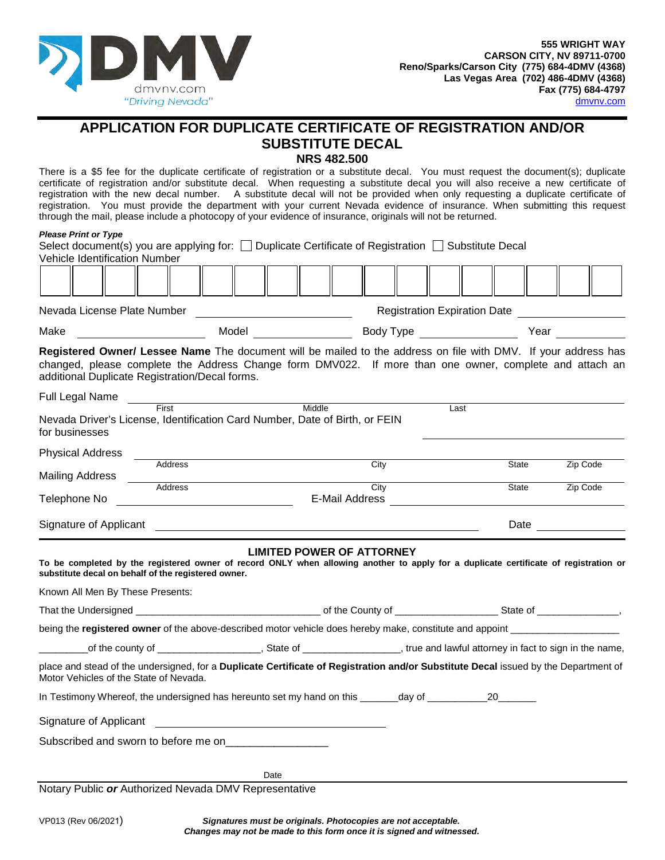

## **APPLICATION FOR DUPLICATE CERTIFICATE OF REGISTRATION AND/OR SUBSTITUTE DECAL**

**NRS 482.500**

There is a \$5 fee for the duplicate certificate of registration or a substitute decal. You must request the document(s); duplicate certificate of registration and/or substitute decal. When requesting a substitute decal you will also receive a new certificate of registration with the new decal number. A substitute decal will not be provided when only requesting a duplicate certificate of registration. You must provide the department with your current Nevada evidence of insurance. When submitting this request through the mail, please include a photocopy of your evidence of insurance, originals will not be returned.

## *Please Print or Type*

| Select document(s) you are applying for: $\Box$ Duplicate Certificate of Registration $\Box$ Substitute Decal<br><b>Vehicle Identification Number</b>                                                                                                                       |                                                                                                                                                                                                                                      |                                  |  |                                     |                      |                                                                                                                                                                                                                                 |
|-----------------------------------------------------------------------------------------------------------------------------------------------------------------------------------------------------------------------------------------------------------------------------|--------------------------------------------------------------------------------------------------------------------------------------------------------------------------------------------------------------------------------------|----------------------------------|--|-------------------------------------|----------------------|---------------------------------------------------------------------------------------------------------------------------------------------------------------------------------------------------------------------------------|
|                                                                                                                                                                                                                                                                             |                                                                                                                                                                                                                                      |                                  |  |                                     |                      |                                                                                                                                                                                                                                 |
|                                                                                                                                                                                                                                                                             |                                                                                                                                                                                                                                      |                                  |  | Registration Expiration Date        |                      |                                                                                                                                                                                                                                 |
| Make                                                                                                                                                                                                                                                                        | Model <b>Model Model</b>                                                                                                                                                                                                             |                                  |  | Body Type <u>__________________</u> |                      | Year and the state of the state of the state of the state of the state of the state of the state of the state of the state of the state of the state of the state of the state of the state of the state of the state of the st |
| Registered Owner/ Lessee Name The document will be mailed to the address on file with DMV. If your address has<br>changed, please complete the Address Change form DMV022. If more than one owner, complete and attach an<br>additional Duplicate Registration/Decal forms. |                                                                                                                                                                                                                                      |                                  |  |                                     |                      |                                                                                                                                                                                                                                 |
| Full Legal Name                                                                                                                                                                                                                                                             | <u>and the contract of the contract of the contract of the contract of the contract of the contract of the contract of the contract of the contract of the contract of the contract of the contract of the contract of the contr</u> |                                  |  |                                     |                      |                                                                                                                                                                                                                                 |
| Nevada Driver's License, Identification Card Number, Date of Birth, or FEIN<br>for businesses                                                                                                                                                                               |                                                                                                                                                                                                                                      |                                  |  | Last                                |                      |                                                                                                                                                                                                                                 |
| <b>Physical Address</b>                                                                                                                                                                                                                                                     |                                                                                                                                                                                                                                      |                                  |  |                                     |                      |                                                                                                                                                                                                                                 |
| Address<br><b>Mailing Address</b>                                                                                                                                                                                                                                           |                                                                                                                                                                                                                                      | City                             |  |                                     | State                | Zip Code                                                                                                                                                                                                                        |
| Address<br>Telephone No                                                                                                                                                                                                                                                     |                                                                                                                                                                                                                                      | City<br>E-Mail Address           |  | State                               |                      | Zip Code                                                                                                                                                                                                                        |
| Signature of Applicant                                                                                                                                                                                                                                                      |                                                                                                                                                                                                                                      |                                  |  |                                     | Date _______________ |                                                                                                                                                                                                                                 |
| To be completed by the registered owner of record ONLY when allowing another to apply for a duplicate certificate of registration or<br>substitute decal on behalf of the registered owner.<br>Known All Men By These Presents:                                             |                                                                                                                                                                                                                                      | <b>LIMITED POWER OF ATTORNEY</b> |  |                                     |                      |                                                                                                                                                                                                                                 |
|                                                                                                                                                                                                                                                                             |                                                                                                                                                                                                                                      |                                  |  |                                     |                      |                                                                                                                                                                                                                                 |
|                                                                                                                                                                                                                                                                             |                                                                                                                                                                                                                                      |                                  |  |                                     |                      |                                                                                                                                                                                                                                 |
| of the county of ______________________, State of __________________, true and lawful attorney in fact to sign in the name,                                                                                                                                                 |                                                                                                                                                                                                                                      |                                  |  |                                     |                      |                                                                                                                                                                                                                                 |
| place and stead of the undersigned, for a Duplicate Certificate of Registration and/or Substitute Decal issued by the Department of<br>Motor Vehicles of the State of Nevada.                                                                                               |                                                                                                                                                                                                                                      |                                  |  |                                     |                      |                                                                                                                                                                                                                                 |
| In Testimony Whereof, the undersigned has hereunto set my hand on this ________day of ____________________20___________                                                                                                                                                     |                                                                                                                                                                                                                                      |                                  |  |                                     |                      |                                                                                                                                                                                                                                 |
| Signature of Applicant                                                                                                                                                                                                                                                      |                                                                                                                                                                                                                                      |                                  |  |                                     |                      |                                                                                                                                                                                                                                 |
|                                                                                                                                                                                                                                                                             |                                                                                                                                                                                                                                      |                                  |  |                                     |                      |                                                                                                                                                                                                                                 |
|                                                                                                                                                                                                                                                                             | Date                                                                                                                                                                                                                                 |                                  |  |                                     |                      |                                                                                                                                                                                                                                 |
| Notary Public or Authorized Nevada DMV Representative                                                                                                                                                                                                                       |                                                                                                                                                                                                                                      |                                  |  |                                     |                      |                                                                                                                                                                                                                                 |